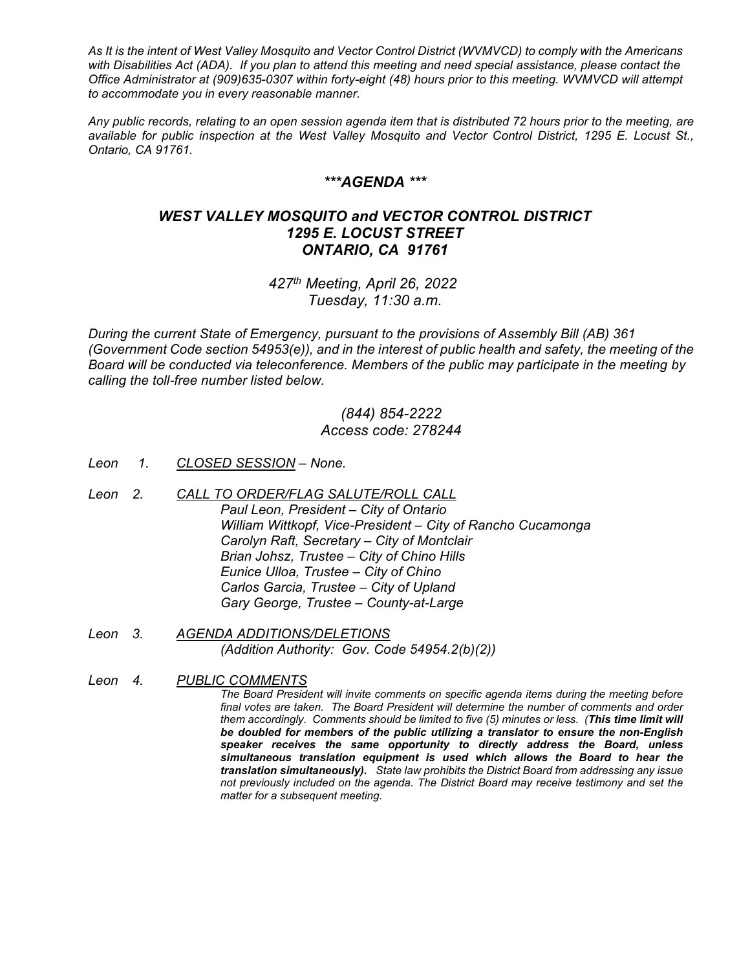*As It is the intent of West Valley Mosquito and Vector Control District (WVMVCD) to comply with the Americans with Disabilities Act (ADA). If you plan to attend this meeting and need special assistance, please contact the Office Administrator at (909)635-0307 within forty-eight (48) hours prior to this meeting. WVMVCD will attempt to accommodate you in every reasonable manner.*

*Any public records, relating to an open session agenda item that is distributed 72 hours prior to the meeting, are available for public inspection at the West Valley Mosquito and Vector Control District, 1295 E. Locust St., Ontario, CA 91761.*

## *\*\*\*AGENDA \*\*\**

## *WEST VALLEY MOSQUITO and VECTOR CONTROL DISTRICT 1295 E. LOCUST STREET ONTARIO, CA 91761*

*427th Meeting, April 26, 2022 Tuesday, 11:30 a.m.*

*During the current State of Emergency, pursuant to the provisions of Assembly Bill (AB) 361 (Government Code section 54953(e)), and in the interest of public health and safety, the meeting of the Board will be conducted via teleconference. Members of the public may participate in the meeting by calling the toll-free number listed below.* 

## *(844) 854-2222 Access code: 278244*

- *Leon 1. CLOSED SESSION – None.*
- *Leon 2. CALL TO ORDER/FLAG SALUTE/ROLL CALL Paul Leon, President – City of Ontario William Wittkopf, Vice-President – City of Rancho Cucamonga Carolyn Raft, Secretary – City of Montclair Brian Johsz, Trustee – City of Chino Hills Eunice Ulloa, Trustee – City of Chino Carlos Garcia, Trustee – City of Upland Gary George, Trustee – County-at-Large*
- *Leon 3. AGENDA ADDITIONS/DELETIONS (Addition Authority: Gov. Code 54954.2(b)(2))*
- *Leon 4. PUBLIC COMMENTS The Board President will invite comments on specific agenda items during the meeting before final votes are taken. The Board President will determine the number of comments and order them accordingly. Comments should be limited to five (5) minutes or less. (This time limit will be doubled for members of the public utilizing a translator to ensure the non-English speaker receives the same opportunity to directly address the Board, unless simultaneous translation equipment is used which allows the Board to hear the translation simultaneously). State law prohibits the District Board from addressing any issue not previously included on the agenda. The District Board may receive testimony and set the matter for a subsequent meeting.*